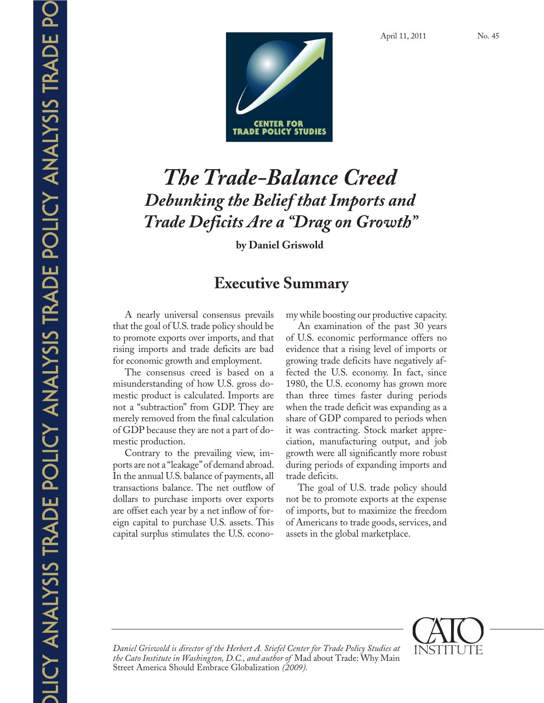

# *The Trade-Balance Creed Debunking the Belief that Imports and Trade Deficits Are a "Drag on Growth"*

**by Daniel Griswold** 

# **Executive Summary**

A nearly universal consensus prevails that the goal of U.S. trade policy should be to promote exports over imports, and that rising imports and trade deficits are bad for economic growth and employment.

The consensus creed is based on a misunderstanding of how U.S. gross domestic product is calculated. Imports are not a "subtraction" from GDP. They are merely removed from the final calculation of GDP because they are not a part of domestic production.

Contrary to the prevailing view, imports are not a "leakage" of demand abroad. In the annual U.S. balance of payments, all transactions balance. The net outflow of dollars to purchase imports over exports are offset each year by a net inflow of foreign capital to purchase U.S. assets. This capital surplus stimulates the U.S. economy while boosting our productive capacity.

An examination of the past 30 years of U.S. economic performance offers no evidence that a rising level of imports or growing trade deficits have negatively affected the U.S. economy. In fact, since 1980, the U.S. economy has grown more than three times faster during periods when the trade deficit was expanding as a share of GDP compared to periods when it was contracting. Stock market appreciation, manufacturing output, and job growth were all significantly more robust during periods of expanding imports and trade deficits.

The goal of U.S. trade policy should not be to promote exports at the expense of imports, but to maximize the freedom of Americans to trade goods, services, and assets in the global marketplace.



*Daniel Griswold is director of the Herbert A. Stiefel Center for Trade Policy Studies at the Cato Institute in Washington, D.C., and author of* Mad about Trade: Why Main Street America Should Embrace Globalization *(2009).*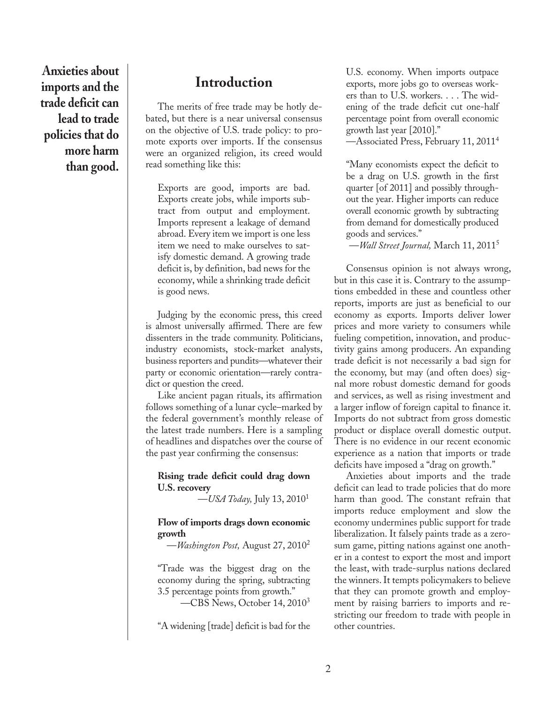**Anxieties about imports and the trade deficit can lead to trade policies that do more harm than good.**

## **Introduction**

The merits of free trade may be hotly debated, but there is a near universal consensus on the objective of U.S. trade policy: to promote exports over imports. If the consensus were an organized religion, its creed would read something like this:

Exports are good, imports are bad. Exports create jobs, while imports subtract from output and employment. Imports represent a leakage of demand abroad. Every item we import is one less item we need to make ourselves to satisfy domestic demand. A growing trade deficit is, by definition, bad news for the economy, while a shrinking trade deficit is good news.

Judging by the economic press, this creed is almost universally affirmed. There are few dissenters in the trade community. Politicians, industry economists, stock-market analysts, business reporters and pundits—whatever their party or economic orientation—rarely contradict or question the creed.

Like ancient pagan rituals, its affirmation follows something of a lunar cycle–marked by the federal government's monthly release of the latest trade numbers. Here is a sampling of headlines and dispatches over the course of the past year confirming the consensus:

#### **Rising trade deficit could drag down U.S. recovery**

—*USA Today,* July 13, 20101

#### **Flow of imports drags down economic growth**

—*Washington Post,* August 27, 20102

"Trade was the biggest drag on the economy during the spring, subtracting 3.5 percentage points from growth."

—CBS News, October 14, 20103

"A widening [trade] deficit is bad for the

U.S. economy. When imports outpace exports, more jobs go to overseas workers than to U.S. workers. . . . The widening of the trade deficit cut one-half percentage point from overall economic growth last year [2010]."

—Associated Press, February 11, 20114

"Many economists expect the deficit to be a drag on U.S. growth in the first quarter [of 2011] and possibly throughout the year. Higher imports can reduce overall economic growth by subtracting from demand for domestically produced goods and services."

—*Wall Street Journal,* March 11, 20115

Consensus opinion is not always wrong, but in this case it is. Contrary to the assumptions embedded in these and countless other reports, imports are just as beneficial to our economy as exports. Imports deliver lower prices and more variety to consumers while fueling competition, innovation, and productivity gains among producers. An expanding trade deficit is not necessarily a bad sign for the economy, but may (and often does) signal more robust domestic demand for goods and services, as well as rising investment and a larger inflow of foreign capital to finance it. Imports do not subtract from gross domestic product or displace overall domestic output. There is no evidence in our recent economic experience as a nation that imports or trade deficits have imposed a "drag on growth."

Anxieties about imports and the trade deficit can lead to trade policies that do more harm than good. The constant refrain that imports reduce employment and slow the economy undermines public support for trade liberalization. It falsely paints trade as a zerosum game, pitting nations against one another in a contest to export the most and import the least, with trade-surplus nations declared the winners. It tempts policymakers to believe that they can promote growth and employment by raising barriers to imports and restricting our freedom to trade with people in other countries.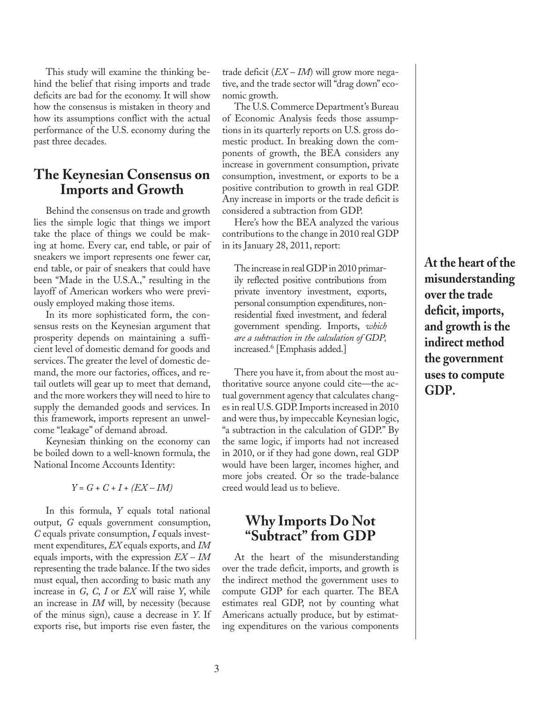This study will examine the thinking behind the belief that rising imports and trade deficits are bad for the economy. It will show how the consensus is mistaken in theory and how its assumptions conflict with the actual performance of the U.S. economy during the past three decades.

## **The Keynesian Consensus on Imports and Growth**

Behind the consensus on trade and growth lies the simple logic that things we import take the place of things we could be making at home. Every car, end table, or pair of sneakers we import represents one fewer car, end table, or pair of sneakers that could have been "Made in the U.S.A.," resulting in the layoff of American workers who were previously employed making those items.

In its more sophisticated form, the consensus rests on the Keynesian argument that prosperity depends on maintaining a sufficient level of domestic demand for goods and services. The greater the level of domestic demand, the more our factories, offices, and retail outlets will gear up to meet that demand, and the more workers they will need to hire to supply the demanded goods and services. In this framework, imports represent an unwelcome "leakage" of demand abroad.

Keynesian thinking on the economy can be boiled down to a well-known formula, the National Income Accounts Identity:

*Y = G + C + I + (EX – IM)*

In this formula, *Y* equals total national output, *G* equals government consumption, *C* equals private consumption, *I* equals investment expenditures, *EX* equals exports, and *IM* equals imports, with the expression *EX – IM* representing the trade balance. If the two sides must equal, then according to basic math any increase in *G*, *C*, *I* or *EX* will raise *Y*, while an increase in *IM* will, by necessity (because of the minus sign), cause a decrease in *Y*. If exports rise, but imports rise even faster, the

trade deficit (*EX – IM*) will grow more negative, and the trade sector will "drag down" economic growth.

The U.S. Commerce Department's Bureau of Economic Analysis feeds those assumptions in its quarterly reports on U.S. gross domestic product. In breaking down the components of growth, the BEA considers any increase in government consumption, private consumption, investment, or exports to be a positive contribution to growth in real GDP. Any increase in imports or the trade deficit is considered a subtraction from GDP.

Here's how the BEA analyzed the various contributions to the change in 2010 real GDP in its January 28, 2011, report:

The increase in real GDP in 2010 primarily reflected positive contributions from private inventory investment, exports, personal consumption expenditures, nonresidential fixed investment, and federal government spending. Imports, *which are a subtraction in the calculation of GDP,* increased.6 [Emphasis added.]

There you have it, from about the most authoritative source anyone could cite—the actual government agency that calculates changes in real U.S. GDP. Imports increased in 2010 and were thus, by impeccable Keynesian logic, "a subtraction in the calculation of GDP." By the same logic, if imports had not increased in 2010, or if they had gone down, real GDP would have been larger, incomes higher, and more jobs created. Or so the trade-balance creed would lead us to believe.

## **Why Imports Do Not "Subtract" from GDP**

At the heart of the misunderstanding over the trade deficit, imports, and growth is the indirect method the government uses to compute GDP for each quarter. The BEA estimates real GDP, not by counting what Americans actually produce, but by estimating expenditures on the various components

**At the heart of the misunderstanding over the trade deficit, imports, and growth is the indirect method the government uses to compute GDP.**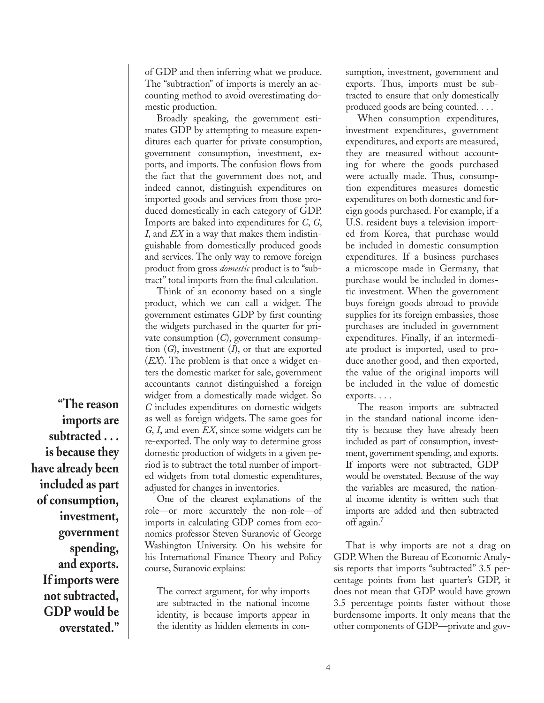of GDP and then inferring what we produce. The "subtraction" of imports is merely an accounting method to avoid overestimating domestic production.

Broadly speaking, the government estimates GDP by attempting to measure expenditures each quarter for private consumption, government consumption, investment, exports, and imports. The confusion flows from the fact that the government does not, and indeed cannot, distinguish expenditures on imported goods and services from those produced domestically in each category of GDP. Imports are baked into expenditures for *C*, *G*, *I*, and *EX* in a way that makes them indistinguishable from domestically produced goods and services. The only way to remove foreign product from gross *domestic* product is to "subtract" total imports from the final calculation.

Think of an economy based on a single product, which we can call a widget. The government estimates GDP by first counting the widgets purchased in the quarter for private consumption (*C*), government consumption (*G*), investment (*I*), or that are exported (*EX*). The problem is that once a widget enters the domestic market for sale, government accountants cannot distinguished a foreign widget from a domestically made widget. So *C* includes expenditures on domestic widgets as well as foreign widgets. The same goes for *G*, *I*, and even *EX*, since some widgets can be re-exported. The only way to determine gross domestic production of widgets in a given period is to subtract the total number of imported widgets from total domestic expenditures, adjusted for changes in inventories.

One of the clearest explanations of the role—or more accurately the non-role—of imports in calculating GDP comes from economics professor Steven Suranovic of George Washington University. On his website for his International Finance Theory and Policy course, Suranovic explains:

The correct argument, for why imports are subtracted in the national income identity, is because imports appear in the identity as hidden elements in consumption, investment, government and exports. Thus, imports must be subtracted to ensure that only domestically produced goods are being counted. . . .

When consumption expenditures, investment expenditures, government expenditures, and exports are measured, they are measured without accounting for where the goods purchased were actually made. Thus, consumption expenditures measures domestic expenditures on both domestic and foreign goods purchased. For example, if a U.S. resident buys a television imported from Korea, that purchase would be included in domestic consumption expenditures. If a business purchases a microscope made in Germany, that purchase would be included in domestic investment. When the government buys foreign goods abroad to provide supplies for its foreign embassies, those purchases are included in government expenditures. Finally, if an intermediate product is imported, used to produce another good, and then exported, the value of the original imports will be included in the value of domestic exports. . . .

The reason imports are subtracted in the standard national income identity is because they have already been included as part of consumption, investment, government spending, and exports. If imports were not subtracted, GDP would be overstated. Because of the way the variables are measured, the national income identity is written such that imports are added and then subtracted off again.7

That is why imports are not a drag on GDP. When the Bureau of Economic Analysis reports that imports "subtracted" 3.5 percentage points from last quarter's GDP, it does not mean that GDP would have grown 3.5 percentage points faster without those burdensome imports. It only means that the other components of GDP—private and gov-

**"The reason imports are subtracted . . . is because they have already been included as part of consumption, investment, government spending, and exports. If imports were not subtracted, GDP would be overstated."**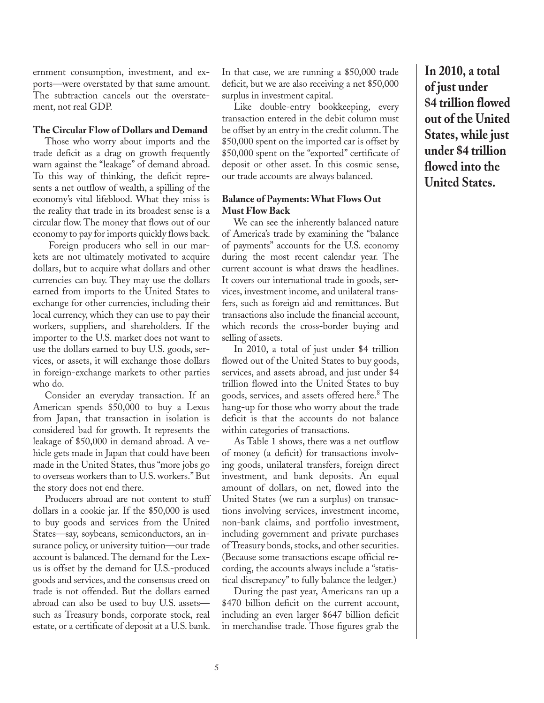ernment consumption, investment, and exports—were overstated by that same amount. The subtraction cancels out the overstatement, not real GDP.

#### **The Circular Flow of Dollars and Demand**

Those who worry about imports and the trade deficit as a drag on growth frequently warn against the "leakage" of demand abroad. To this way of thinking, the deficit represents a net outflow of wealth, a spilling of the economy's vital lifeblood. What they miss is the reality that trade in its broadest sense is a circular flow. The money that flows out of our economy to pay for imports quickly flows back.

 Foreign producers who sell in our markets are not ultimately motivated to acquire dollars, but to acquire what dollars and other currencies can buy. They may use the dollars earned from imports to the United States to exchange for other currencies, including their local currency, which they can use to pay their workers, suppliers, and shareholders. If the importer to the U.S. market does not want to use the dollars earned to buy U.S. goods, services, or assets, it will exchange those dollars in foreign-exchange markets to other parties who do.

Consider an everyday transaction. If an American spends \$50,000 to buy a Lexus from Japan, that transaction in isolation is considered bad for growth. It represents the leakage of \$50,000 in demand abroad. A vehicle gets made in Japan that could have been made in the United States, thus "more jobs go to overseas workers than to U.S. workers." But the story does not end there.

Producers abroad are not content to stuff dollars in a cookie jar. If the \$50,000 is used to buy goods and services from the United States—say, soybeans, semiconductors, an insurance policy, or university tuition—our trade account is balanced. The demand for the Lexus is offset by the demand for U.S.-produced goods and services, and the consensus creed on trade is not offended. But the dollars earned abroad can also be used to buy U.S. assets such as Treasury bonds, corporate stock, real estate, or a certificate of deposit at a U.S. bank.

In that case, we are running a \$50,000 trade deficit, but we are also receiving a net \$50,000 surplus in investment capital.

Like double-entry bookkeeping, every transaction entered in the debit column must be offset by an entry in the credit column. The \$50,000 spent on the imported car is offset by \$50,000 spent on the "exported" certificate of deposit or other asset. In this cosmic sense, our trade accounts are always balanced.

#### **Balance of Payments: What Flows Out Must Flow Back**

We can see the inherently balanced nature of America's trade by examining the "balance of payments" accounts for the U.S. economy during the most recent calendar year. The current account is what draws the headlines. It covers our international trade in goods, services, investment income, and unilateral transfers, such as foreign aid and remittances. But transactions also include the financial account, which records the cross-border buying and selling of assets.

In 2010, a total of just under \$4 trillion flowed out of the United States to buy goods, services, and assets abroad, and just under \$4 trillion flowed into the United States to buy goods, services, and assets offered here.8 The hang-up for those who worry about the trade deficit is that the accounts do not balance within categories of transactions.

As Table 1 shows, there was a net outflow of money (a deficit) for transactions involving goods, unilateral transfers, foreign direct investment, and bank deposits. An equal amount of dollars, on net, flowed into the United States (we ran a surplus) on transactions involving services, investment income, non-bank claims, and portfolio investment, including government and private purchases of Treasury bonds, stocks, and other securities. (Because some transactions escape official recording, the accounts always include a "statistical discrepancy" to fully balance the ledger.)

During the past year, Americans ran up a \$470 billion deficit on the current account, including an even larger \$647 billion deficit in merchandise trade. Those figures grab the **In 2010, a total of just under \$4 trillion flowed out of the United States, while just under \$4 trillion flowed into the United States.**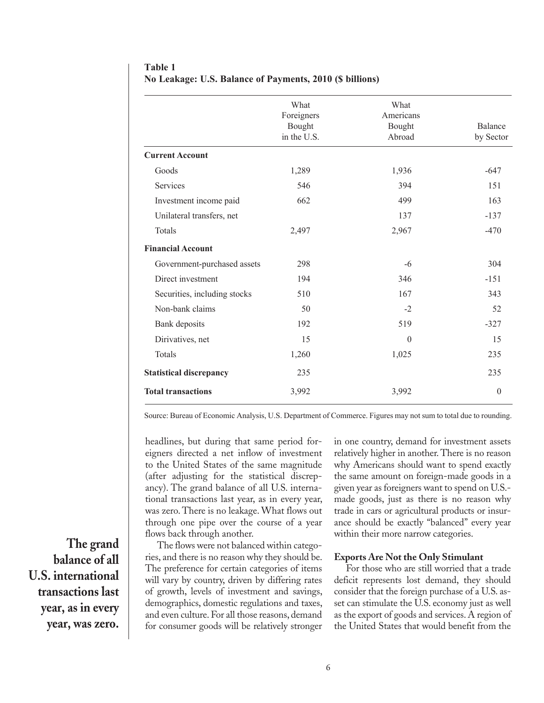|                                | What<br>Foreigners<br>Bought<br>in the U.S. | What<br>Americans<br>Bought<br>Abroad | Balance<br>by Sector |
|--------------------------------|---------------------------------------------|---------------------------------------|----------------------|
| <b>Current Account</b>         |                                             |                                       |                      |
| Goods                          | 1,289                                       | 1,936                                 | $-647$               |
| Services                       | 546                                         | 394                                   | 151                  |
| Investment income paid         | 662                                         | 499                                   | 163                  |
| Unilateral transfers, net      |                                             | 137                                   | $-137$               |
| Totals                         | 2,497                                       | 2,967                                 | $-470$               |
| <b>Financial Account</b>       |                                             |                                       |                      |
| Government-purchased assets    | 298                                         | $-6$                                  | 304                  |
| Direct investment              | 194                                         | 346                                   | $-151$               |
| Securities, including stocks   | 510                                         | 167                                   | 343                  |
| Non-bank claims                | 50                                          | $-2$                                  | 52                   |
| Bank deposits                  | 192                                         | 519                                   | $-327$               |
| Dirivatives, net               | 15                                          | $\mathbf{0}$                          | 15                   |
| Totals                         | 1,260                                       | 1,025                                 | 235                  |
| <b>Statistical discrepancy</b> | 235                                         |                                       | 235                  |
| <b>Total transactions</b>      | 3,992                                       | 3,992                                 | $\theta$             |

**Table 1 No Leakage: U.S. Balance of Payments, 2010 (\$ billions)**

Source: Bureau of Economic Analysis, U.S. Department of Commerce. Figures may not sum to total due to rounding.

headlines, but during that same period foreigners directed a net inflow of investment to the United States of the same magnitude (after adjusting for the statistical discrepancy). The grand balance of all U.S. international transactions last year, as in every year, was zero. There is no leakage. What flows out through one pipe over the course of a year flows back through another.

The flows were not balanced within categories, and there is no reason why they should be. The preference for certain categories of items will vary by country, driven by differing rates of growth, levels of investment and savings, demographics, domestic regulations and taxes, and even culture. For all those reasons, demand for consumer goods will be relatively stronger in one country, demand for investment assets relatively higher in another. There is no reason why Americans should want to spend exactly the same amount on foreign-made goods in a given year as foreigners want to spend on U.S. made goods, just as there is no reason why trade in cars or agricultural products or insurance should be exactly "balanced" every year within their more narrow categories.

#### **Exports Are Not the Only Stimulant**

For those who are still worried that a trade deficit represents lost demand, they should consider that the foreign purchase of a U.S. asset can stimulate the U.S. economy just as well as the export of goods and services. A region of the United States that would benefit from the

**The grand balance of all U.S. international transactions last year, as in every year, was zero.**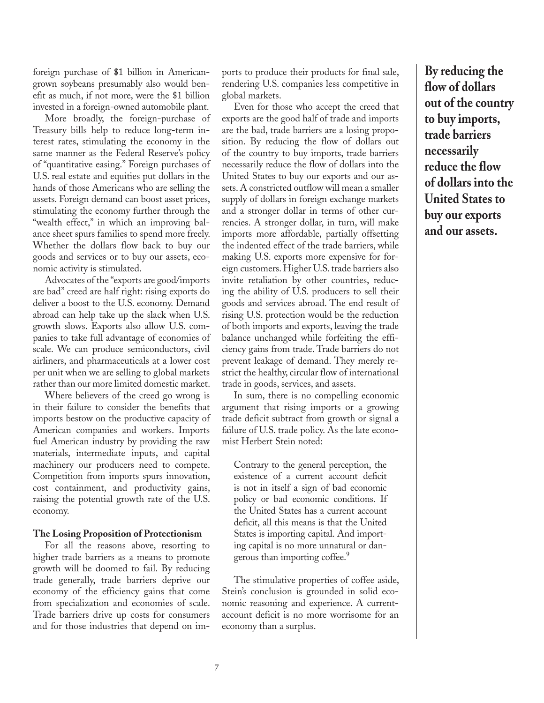foreign purchase of \$1 billion in Americangrown soybeans presumably also would benefit as much, if not more, were the \$1 billion invested in a foreign-owned automobile plant.

More broadly, the foreign-purchase of Treasury bills help to reduce long-term interest rates, stimulating the economy in the same manner as the Federal Reserve's policy of "quantitative easing." Foreign purchases of U.S. real estate and equities put dollars in the hands of those Americans who are selling the assets. Foreign demand can boost asset prices, stimulating the economy further through the "wealth effect," in which an improving balance sheet spurs families to spend more freely. Whether the dollars flow back to buy our goods and services or to buy our assets, economic activity is stimulated.

Advocates of the "exports are good/imports are bad" creed are half right: rising exports do deliver a boost to the U.S. economy. Demand abroad can help take up the slack when U.S. growth slows. Exports also allow U.S. companies to take full advantage of economies of scale. We can produce semiconductors, civil airliners, and pharmaceuticals at a lower cost per unit when we are selling to global markets rather than our more limited domestic market.

Where believers of the creed go wrong is in their failure to consider the benefits that imports bestow on the productive capacity of American companies and workers. Imports fuel American industry by providing the raw materials, intermediate inputs, and capital machinery our producers need to compete. Competition from imports spurs innovation, cost containment, and productivity gains, raising the potential growth rate of the U.S. economy.

#### **The Losing Proposition of Protectionism**

For all the reasons above, resorting to higher trade barriers as a means to promote growth will be doomed to fail. By reducing trade generally, trade barriers deprive our economy of the efficiency gains that come from specialization and economies of scale. Trade barriers drive up costs for consumers and for those industries that depend on imports to produce their products for final sale, rendering U.S. companies less competitive in global markets.

Even for those who accept the creed that exports are the good half of trade and imports are the bad, trade barriers are a losing proposition. By reducing the flow of dollars out of the country to buy imports, trade barriers necessarily reduce the flow of dollars into the United States to buy our exports and our assets. A constricted outflow will mean a smaller supply of dollars in foreign exchange markets and a stronger dollar in terms of other currencies. A stronger dollar, in turn, will make imports more affordable, partially offsetting the indented effect of the trade barriers, while making U.S. exports more expensive for foreign customers. Higher U.S. trade barriers also invite retaliation by other countries, reducing the ability of U.S. producers to sell their goods and services abroad. The end result of rising U.S. protection would be the reduction of both imports and exports, leaving the trade balance unchanged while forfeiting the efficiency gains from trade. Trade barriers do not prevent leakage of demand. They merely restrict the healthy, circular flow of international trade in goods, services, and assets.

In sum, there is no compelling economic argument that rising imports or a growing trade deficit subtract from growth or signal a failure of U.S. trade policy. As the late economist Herbert Stein noted:

Contrary to the general perception, the existence of a current account deficit is not in itself a sign of bad economic policy or bad economic conditions. If the United States has a current account deficit, all this means is that the United States is importing capital. And importing capital is no more unnatural or dangerous than importing coffee.<sup>9</sup>

The stimulative properties of coffee aside, Stein's conclusion is grounded in solid economic reasoning and experience. A currentaccount deficit is no more worrisome for an economy than a surplus.

**By reducing the flow of dollars out of the country to buy imports, trade barriers necessarily reduce the flow of dollars into the United States to buy our exports and our assets.**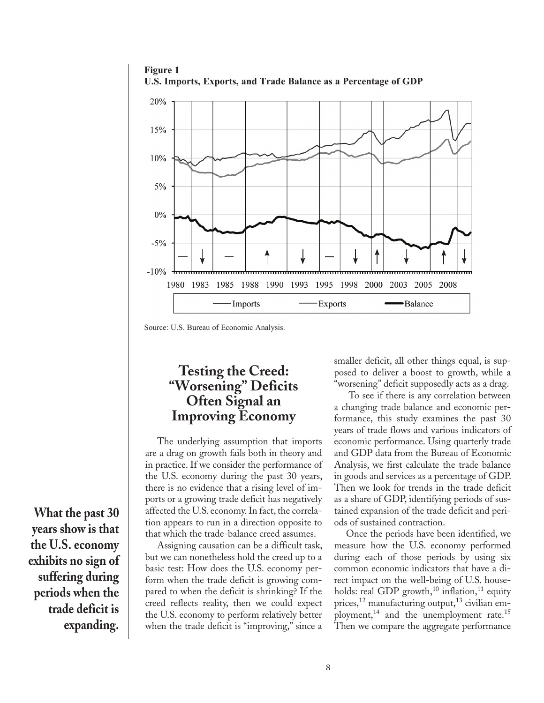

**Figure 1**

## **Testing the Creed: "Worsening" Deficits Often Signal an Improving Economy**

The underlying assumption that imports are a drag on growth fails both in theory and in practice. If we consider the performance of the U.S. economy during the past 30 years, there is no evidence that a rising level of imports or a growing trade deficit has negatively affected the U.S. economy. In fact, the correlation appears to run in a direction opposite to that which the trade-balance creed assumes.

Assigning causation can be a difficult task, but we can nonetheless hold the creed up to a basic test: How does the U.S. economy perform when the trade deficit is growing compared to when the deficit is shrinking? If the creed reflects reality, then we could expect the U.S. economy to perform relatively better when the trade deficit is "improving," since a

smaller deficit, all other things equal, is supposed to deliver a boost to growth, while a "worsening" deficit supposedly acts as a drag.

 To see if there is any correlation between a changing trade balance and economic performance, this study examines the past 30 years of trade flows and various indicators of economic performance. Using quarterly trade and GDP data from the Bureau of Economic Analysis, we first calculate the trade balance in goods and services as a percentage of GDP. Then we look for trends in the trade deficit as a share of GDP, identifying periods of sustained expansion of the trade deficit and periods of sustained contraction.

Once the periods have been identified, we measure how the U.S. economy performed during each of those periods by using six common economic indicators that have a direct impact on the well-being of U.S. households: real GDP growth,<sup>10</sup> inflation,<sup>11</sup> equity prices,<sup>12</sup> manufacturing output,<sup>13</sup> civilian employment,<sup>14</sup> and the unemployment rate.<sup>15</sup> Then we compare the aggregate performance

**What the past 30 years show is that the U.S. economy exhibits no sign of suffering during periods when the trade deficit is expanding.** 

Source: U.S. Bureau of Economic Analysis.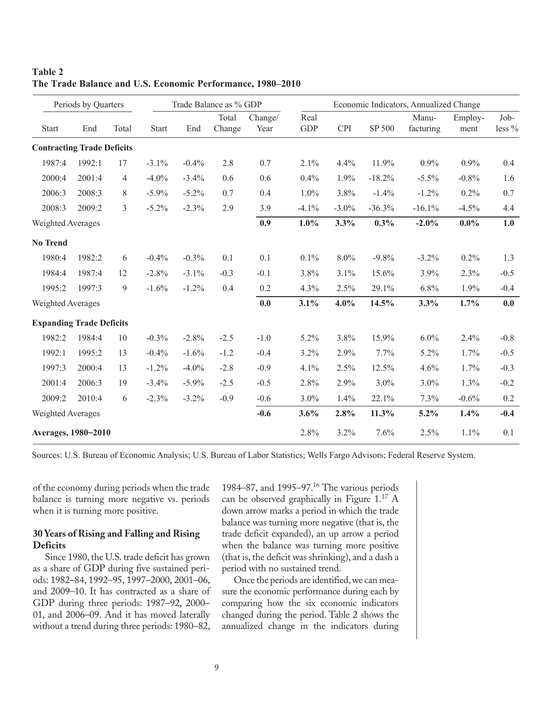| Periods by Quarters               |        | Trade Balance as % GDP |              |          | Economic Indicators, Annualized Change |                 |                    |            |          |                    |                 |                |
|-----------------------------------|--------|------------------------|--------------|----------|----------------------------------------|-----------------|--------------------|------------|----------|--------------------|-----------------|----------------|
| <b>Start</b>                      | End    | Total                  | <b>Start</b> | End      | Total<br>Change                        | Change/<br>Year | Real<br><b>GDP</b> | <b>CPI</b> | SP 500   | Manu-<br>facturing | Employ-<br>ment | Job-<br>less % |
| <b>Contracting Trade Deficits</b> |        |                        |              |          |                                        |                 |                    |            |          |                    |                 |                |
| 1987:4                            | 1992:1 | 17                     | $-3.1%$      | $-0.4%$  | 2.8                                    | 0.7             | 2.1%               | 4.4%       | 11.9%    | 0.9%               | 0.9%            | 0.4            |
| 2000:4                            | 2001:4 | $\overline{4}$         | $-4.0%$      | $-3.4%$  | 0.6                                    | 0.6             | 0.4%               | 1.9%       | $-18.2%$ | $-5.5\%$           | $-0.8%$         | 1.6            |
| 2006:3                            | 2008:3 | 8                      | $-5.9\%$     | $-5.2%$  | 0.7                                    | 0.4             | 1.0%               | 3.8%       | $-1.4%$  | $-1.2%$            | 0.2%            | 0.7            |
| 2008:3                            | 2009:2 | 3                      | $-5.2%$      | $-2.3%$  | 2.9                                    | 3.9             | $-4.1\%$           | $-3.0\%$   | $-36.3%$ | $-16.1%$           | $-4.5%$         | 4.4            |
| Weighted Averages                 |        |                        |              |          |                                        | 0.9             | $1.0\%$            | 3.3%       | $0.3\%$  | $-2.0%$            | $0.0\%$         | 1.0            |
| <b>No Trend</b>                   |        |                        |              |          |                                        |                 |                    |            |          |                    |                 |                |
| 1980:4                            | 1982:2 | 6                      | $-0.4%$      | $-0.3%$  | 0.1                                    | 0.1             | $0.1\%$            | 8.0%       | $-9.8%$  | $-3.2%$            | 0.2%            | 1.3            |
| 1984:4                            | 1987:4 | 12                     | $-2.8%$      | $-3.1%$  | $-0.3$                                 | $-0.1$          | 3.8%               | 3.1%       | 15.6%    | 3.9%               | 2.3%            | $-0.5$         |
| 1995:2                            | 1997:3 | 9                      | $-1.6%$      | $-1.2%$  | 0.4                                    | 0.2             | 4.3%               | 2.5%       | 29.1%    | 6.8%               | 1.9%            | $-0.4$         |
| Weighted Averages                 |        |                        |              |          |                                        | 0.0             | 3.1%               | $4.0\%$    | 14.5%    | 3.3%               | 1.7%            | 0.0            |
| <b>Expanding Trade Deficits</b>   |        |                        |              |          |                                        |                 |                    |            |          |                    |                 |                |
| 1982:2                            | 1984:4 | 10                     | $-0.3%$      | $-2.8%$  | $-2.5$                                 | $-1.0$          | 5.2%               | 3.8%       | 15.9%    | 6.0%               | 2.4%            | $-0.8$         |
| 1992:1                            | 1995:2 | 13                     | $-0.4%$      | $-1.6%$  | $-1.2$                                 | $-0.4$          | 3.2%               | 2.9%       | 7.7%     | 5.2%               | 1.7%            | $-0.5$         |
| 1997:3                            | 2000:4 | 13                     | $-1.2%$      | $-4.0\%$ | $-2.8$                                 | $-0.9$          | 4.1%               | 2.5%       | 12.5%    | 4.6%               | 1.7%            | $-0.3$         |
| 2001:4                            | 2006:3 | 19                     | $-3.4%$      | $-5.9%$  | $-2.5$                                 | $-0.5$          | 2.8%               | 2.9%       | 3.0%     | 3.0%               | 1.3%            | $-0.2$         |
| 2009:2                            | 2010:4 | 6                      | $-2.3%$      | $-3.2%$  | $-0.9$                                 | $-0.6$          | 3.0%               | 1.4%       | 22.1%    | 7.3%               | $-0.6%$         | 0.2            |
| Weighted Averages                 |        |                        |              |          |                                        | $-0.6$          | 3.6%               | 2.8%       | 11.3%    | 5.2%               | 1.4%            | $-0.4$         |
| Averages, 1980-2010               |        |                        |              |          |                                        | 2.8%            | 3.2%               | 7.6%       | 2.5%     | 1.1%               | 0.1             |                |

#### **Table 2 The Trade Balance and U.S. Economic Performance, 1980–2010**

Sources: U.S. Bureau of Economic Analysis; U.S. Bureau of Labor Statistics; Wells Fargo Advisors; Federal Reserve System.

of the economy during periods when the trade balance is turning more negative vs. periods when it is turning more positive.

#### **30 Years of Rising and Falling and Rising Deficits**

Since 1980, the U.S. trade deficit has grown as a share of GDP during five sustained periods: 1982–84, 1992–95, 1997–2000, 2001–06, and 2009–10. It has contracted as a share of GDP during three periods: 1987–92, 2000– 01, and 2006–09. And it has moved laterally without a trend during three periods: 1980–82, 1984–87, and 1995–97.<sup>16</sup> The various periods can be observed graphically in Figure 1.17 A down arrow marks a period in which the trade balance was turning more negative (that is, the trade deficit expanded), an up arrow a period when the balance was turning more positive (that is, the deficit was shrinking), and a dash a period with no sustained trend.

Once the periods are identified, we can measure the economic performance during each by comparing how the six economic indicators changed during the period. Table 2 shows the annualized change in the indicators during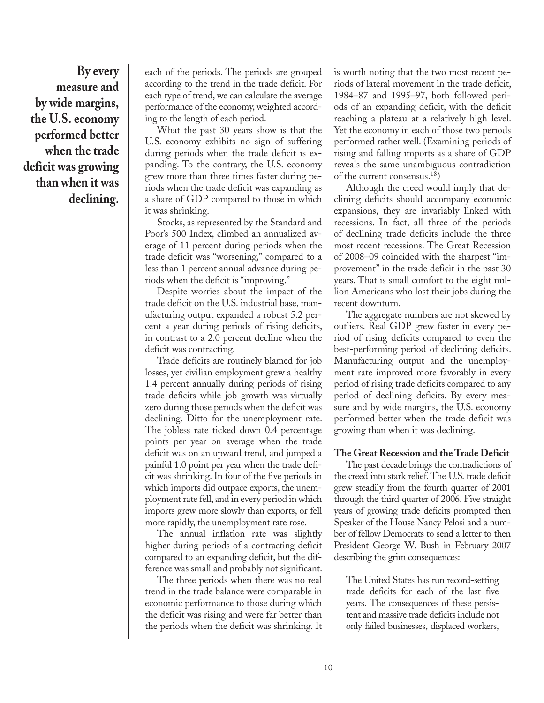**By every measure and by wide margins, the U.S. economy performed better when the trade deficit was growing than when it was declining.**

each of the periods. The periods are grouped according to the trend in the trade deficit. For each type of trend, we can calculate the average performance of the economy, weighted according to the length of each period.

What the past 30 years show is that the U.S. economy exhibits no sign of suffering during periods when the trade deficit is expanding. To the contrary, the U.S. economy grew more than three times faster during periods when the trade deficit was expanding as a share of GDP compared to those in which it was shrinking.

Stocks, as represented by the Standard and Poor's 500 Index, climbed an annualized average of 11 percent during periods when the trade deficit was "worsening," compared to a less than 1 percent annual advance during periods when the deficit is "improving."

Despite worries about the impact of the trade deficit on the U.S. industrial base, manufacturing output expanded a robust 5.2 percent a year during periods of rising deficits, in contrast to a 2.0 percent decline when the deficit was contracting.

Trade deficits are routinely blamed for job losses, yet civilian employment grew a healthy 1.4 percent annually during periods of rising trade deficits while job growth was virtually zero during those periods when the deficit was declining. Ditto for the unemployment rate. The jobless rate ticked down 0.4 percentage points per year on average when the trade deficit was on an upward trend, and jumped a painful 1.0 point per year when the trade deficit was shrinking. In four of the five periods in which imports did outpace exports, the unemployment rate fell, and in every period in which imports grew more slowly than exports, or fell more rapidly, the unemployment rate rose.

The annual inflation rate was slightly higher during periods of a contracting deficit compared to an expanding deficit, but the difference was small and probably not significant.

The three periods when there was no real trend in the trade balance were comparable in economic performance to those during which the deficit was rising and were far better than the periods when the deficit was shrinking. It is worth noting that the two most recent periods of lateral movement in the trade deficit, 1984–87 and 1995–97, both followed periods of an expanding deficit, with the deficit reaching a plateau at a relatively high level. Yet the economy in each of those two periods performed rather well. (Examining periods of rising and falling imports as a share of GDP reveals the same unambiguous contradiction of the current consensus.18)

Although the creed would imply that declining deficits should accompany economic expansions, they are invariably linked with recessions. In fact, all three of the periods of declining trade deficits include the three most recent recessions. The Great Recession of 2008–09 coincided with the sharpest "improvement" in the trade deficit in the past 30 years. That is small comfort to the eight million Americans who lost their jobs during the recent downturn.

The aggregate numbers are not skewed by outliers. Real GDP grew faster in every period of rising deficits compared to even the best-performing period of declining deficits. Manufacturing output and the unemployment rate improved more favorably in every period of rising trade deficits compared to any period of declining deficits. By every measure and by wide margins, the U.S. economy performed better when the trade deficit was growing than when it was declining.

#### **The Great Recession and the Trade Deficit**

The past decade brings the contradictions of the creed into stark relief. The U.S. trade deficit grew steadily from the fourth quarter of 2001 through the third quarter of 2006. Five straight years of growing trade deficits prompted then Speaker of the House Nancy Pelosi and a number of fellow Democrats to send a letter to then President George W. Bush in February 2007 describing the grim consequences:

The United States has run record-setting trade deficits for each of the last five years. The consequences of these persistent and massive trade deficits include not only failed businesses, displaced workers,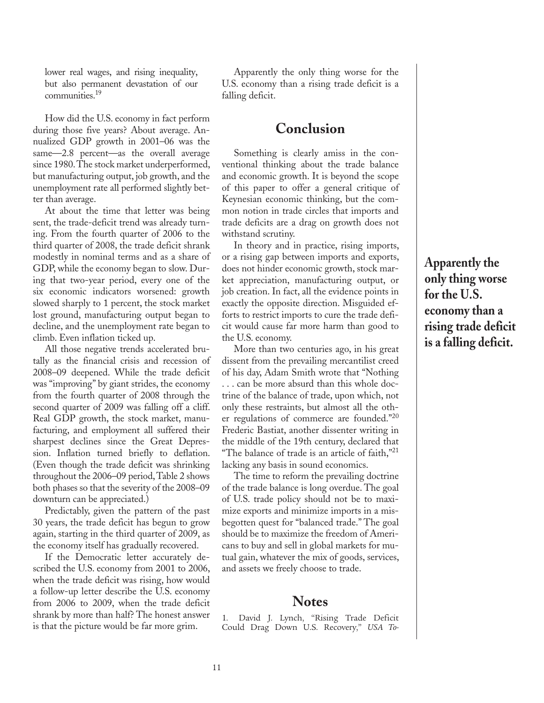lower real wages, and rising inequality, but also permanent devastation of our communities.<sup>19</sup>

How did the U.S. economy in fact perform during those five years? About average. Annualized GDP growth in 2001–06 was the same—2.8 percent—as the overall average since 1980. The stock market underperformed, but manufacturing output, job growth, and the unemployment rate all performed slightly better than average.

At about the time that letter was being sent, the trade-deficit trend was already turning. From the fourth quarter of 2006 to the third quarter of 2008, the trade deficit shrank modestly in nominal terms and as a share of GDP, while the economy began to slow. During that two-year period, every one of the six economic indicators worsened: growth slowed sharply to 1 percent, the stock market lost ground, manufacturing output began to decline, and the unemployment rate began to climb. Even inflation ticked up.

All those negative trends accelerated brutally as the financial crisis and recession of 2008–09 deepened. While the trade deficit was "improving" by giant strides, the economy from the fourth quarter of 2008 through the second quarter of 2009 was falling off a cliff. Real GDP growth, the stock market, manufacturing, and employment all suffered their sharpest declines since the Great Depression. Inflation turned briefly to deflation. (Even though the trade deficit was shrinking throughout the 2006–09 period, Table 2 shows both phases so that the severity of the 2008–09 downturn can be appreciated.)

Predictably, given the pattern of the past 30 years, the trade deficit has begun to grow again, starting in the third quarter of 2009, as the economy itself has gradually recovered.

If the Democratic letter accurately described the U.S. economy from 2001 to 2006, when the trade deficit was rising, how would a follow-up letter describe the U.S. economy from 2006 to 2009, when the trade deficit shrank by more than half? The honest answer is that the picture would be far more grim.

Apparently the only thing worse for the U.S. economy than a rising trade deficit is a falling deficit.

## **Conclusion**

Something is clearly amiss in the conventional thinking about the trade balance and economic growth. It is beyond the scope of this paper to offer a general critique of Keynesian economic thinking, but the common notion in trade circles that imports and trade deficits are a drag on growth does not withstand scrutiny.

In theory and in practice, rising imports, or a rising gap between imports and exports, does not hinder economic growth, stock market appreciation, manufacturing output, or job creation. In fact, all the evidence points in exactly the opposite direction. Misguided efforts to restrict imports to cure the trade deficit would cause far more harm than good to the U.S. economy.

More than two centuries ago, in his great dissent from the prevailing mercantilist creed of his day, Adam Smith wrote that "Nothing . . . can be more absurd than this whole doctrine of the balance of trade, upon which, not only these restraints, but almost all the other regulations of commerce are founded."<sup>20</sup> Frederic Bastiat, another dissenter writing in the middle of the 19th century, declared that "The balance of trade is an article of faith," $21$ lacking any basis in sound economics.

The time to reform the prevailing doctrine of the trade balance is long overdue. The goal of U.S. trade policy should not be to maximize exports and minimize imports in a misbegotten quest for "balanced trade." The goal should be to maximize the freedom of Americans to buy and sell in global markets for mutual gain, whatever the mix of goods, services, and assets we freely choose to trade.

### **Notes**

1. David J. Lynch, "Rising Trade Deficit Could Drag Down U.S. Recovery," *USA To-* **Apparently the only thing worse for the U.S. economy than a rising trade deficit is a falling deficit.**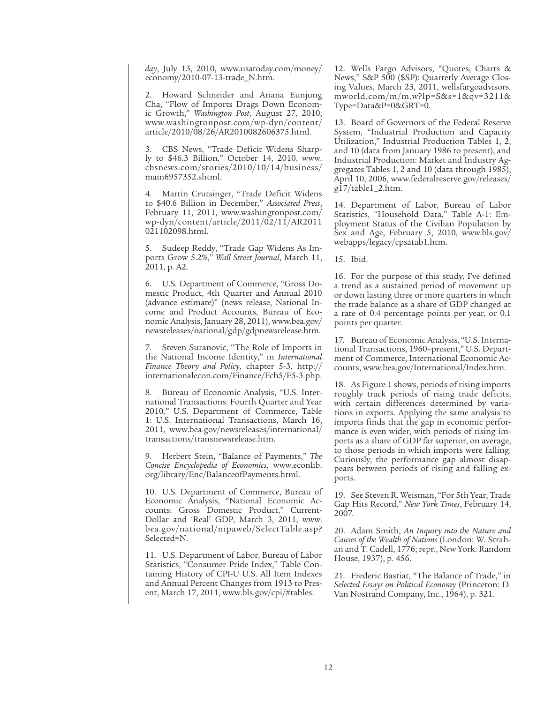*day*, July 13, 2010, www.usatoday.com/money/ economy/2010-07-13-trade\_N.htm.

2. Howard Schneider and Ariana Eunjung Cha, "Flow of Imports Drags Down Economic Growth," *Washington Post*, August 27, 2010, www.washingtonpost.com/wp-dyn/content/ article/2010/08/26/AR2010082606375.html.

3. CBS News, "Trade Deficit Widens Sharply to \$46.3 Billion," October 14, 2010, www. cbsnews.com/stories/2010/10/14/business/ main6957352.shtml.

4. Martin Crutsinger, "Trade Deficit Widens to \$40.6 Billion in December," *Associated Press*, February 11, 2011, www.washingtonpost.com/ wp-dyn/content/article/2011/02/11/AR2011 021102098.html.

5. Sudeep Reddy, "Trade Gap Widens As Imports Grow 5.2%," *Wall Street Journal*, March 11, 2011, p. A2.

6. U.S. Department of Commerce, "Gross Domestic Product, 4th Quarter and Annual 2010 (advance estimate)" (news release, National Income and Product Accounts, Bureau of Economic Analysis, January 28, 2011), www.bea.gov/ newsreleases/national/gdp/gdpnewsrelease.htm.

7. Steven Suranovic, "The Role of Imports in the National Income Identity," in *International Finance Theory and Policy*, chapter 5-3, http:// internationalecon.com/Finance/Fch5/F5-3.php.

8. Bureau of Economic Analysis, "U.S. International Transactions: Fourth Quarter and Year 2010," U.S. Department of Commerce, Table 1: U.S. International Transactions, March 16, 2011, www.bea.gov/newsreleases/international/ transactions/transnewsrelease.htm.

9. Herbert Stein, "Balance of Payments," *The Concise Encyclopedia of Economics*, www.econlib. org/library/Enc/BalanceofPayments.html.

10. U.S. Department of Commerce, Bureau of Economic Analysis, "National Economic Accounts: Gross Domestic Product," Current-Dollar and 'Real' GDP, March 3, 2011, www. bea.gov/national/nipaweb/SelectTable.asp? Selected=N.

11. U.S. Department of Labor, Bureau of Labor Statistics, "Consumer Pride Index," Table Containing History of CPI-U U.S. All Item Indexes and Annual Percent Changes from 1913 to Present, March 17, 2011, www.bls.gov/cpi/#tables.

12. Wells Fargo Advisors, "Quotes, Charts & News," S&P 500 (\$SP): Quarterly Average Closing Values, March 23, 2011, wellsfargoadvisors. mworld.com/m/m.w?lp=S&s=1&qv=3211& Type=Data&P=0&GRT=0.

13. Board of Governors of the Federal Reserve System, "Industrial Production and Capacity Utilization," Industrial Production Tables 1, 2, and 10 (data from January 1986 to present), and Industrial Production: Market and Industry Aggregates Tables 1, 2 and 10 (data through 1985), April 10, 2006, www.federalreserve.gov/releases/ g17/table1\_2.htm.

14. Department of Labor, Bureau of Labor Statistics, "Household Data," Table A-1: Employment Status of the Civilian Population by Sex and Age, February 5, 2010, www.bls.gov/ webapps/legacy/cpsatab1.htm.

15. Ibid.

16. For the purpose of this study, I've defined a trend as a sustained period of movement up or down lasting three or more quarters in which the trade balance as a share of GDP changed at a rate of 0.4 percentage points per year, or 0.1 points per quarter.

17. Bureau of Economic Analysis, "U.S. International Transactions, 1960–present," U.S. Department of Commerce, International Economic Accounts, www.bea.gov/International/Index.htm.

18. As Figure 1 shows, periods of rising imports roughly track periods of rising trade deficits, with certain differences determined by variations in exports. Applying the same analysis to imports finds that the gap in economic performance is even wider, with periods of rising imports as a share of GDP far superior, on average, to those periods in which imports were falling. Curiously, the performance gap almost disappears between periods of rising and falling exports.

19. See Steven R. Weisman, "For 5th Year, Trade Gap Hits Record," *New York Times*, February 14, 2007.

20. Adam Smith, *An Inquiry into the Nature and Causes of the Wealth of Nations* (London: W. Strahan and T. Cadell, 1776; repr., New York: Random House, 1937), p. 456.

21. Frederic Bastiat, "The Balance of Trade," in *Selected Essays on Political Economy* (Princeton: D. Van Nostrand Company, Inc., 1964), p. 321.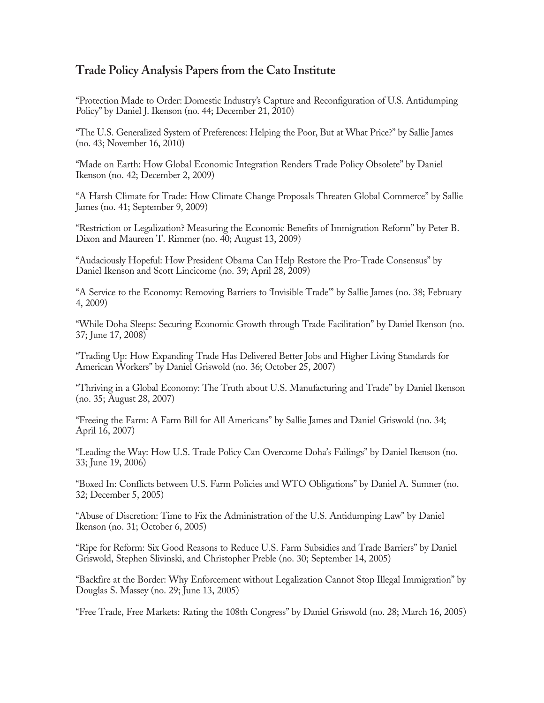## **Trade Policy Analysis Papers from the Cato Institute**

"Protection Made to Order: Domestic Industry's Capture and Reconfiguration of U.S. Antidumping Policy" by Daniel J. Ikenson (no. 44; December 21, 2010)

"The U.S. Generalized System of Preferences: Helping the Poor, But at What Price?" by Sallie James (no. 43; November 16, 2010)

"Made on Earth: How Global Economic Integration Renders Trade Policy Obsolete" by Daniel Ikenson (no. 42; December 2, 2009)

"A Harsh Climate for Trade: How Climate Change Proposals Threaten Global Commerce" by Sallie James (no. 41; September 9, 2009)

"Restriction or Legalization? Measuring the Economic Benefits of Immigration Reform" by Peter B. Dixon and Maureen T. Rimmer (no. 40; August 13, 2009)

"Audaciously Hopeful: How President Obama Can Help Restore the Pro-Trade Consensus" by Daniel Ikenson and Scott Lincicome (no. 39; April 28, 2009)

"A Service to the Economy: Removing Barriers to 'Invisible Trade'" by Sallie James (no. 38; February 4, 2009)

"While Doha Sleeps: Securing Economic Growth through Trade Facilitation" by Daniel Ikenson (no. 37; June 17, 2008)

"Trading Up: How Expanding Trade Has Delivered Better Jobs and Higher Living Standards for American Workers" by Daniel Griswold (no. 36; October 25, 2007)

"Thriving in a Global Economy: The Truth about U.S. Manufacturing and Trade" by Daniel Ikenson (no. 35; August 28, 2007)

"Freeing the Farm: A Farm Bill for All Americans" by Sallie James and Daniel Griswold (no. 34; April 16, 2007)

"Leading the Way: How U.S. Trade Policy Can Overcome Doha's Failings" by Daniel Ikenson (no. 33; June 19, 2006)

"Boxed In: Conflicts between U.S. Farm Policies and WTO Obligations" by Daniel A. Sumner (no. 32; December 5, 2005)

"Abuse of Discretion: Time to Fix the Administration of the U.S. Antidumping Law" by Daniel Ikenson (no. 31; October 6, 2005)

"Ripe for Reform: Six Good Reasons to Reduce U.S. Farm Subsidies and Trade Barriers" by Daniel Griswold, Stephen Slivinski, and Christopher Preble (no. 30; September 14, 2005)

"Backfire at the Border: Why Enforcement without Legalization Cannot Stop Illegal Immigration" by Douglas S. Massey (no. 29; June 13, 2005)

"Free Trade, Free Markets: Rating the 108th Congress" by Daniel Griswold (no. 28; March 16, 2005)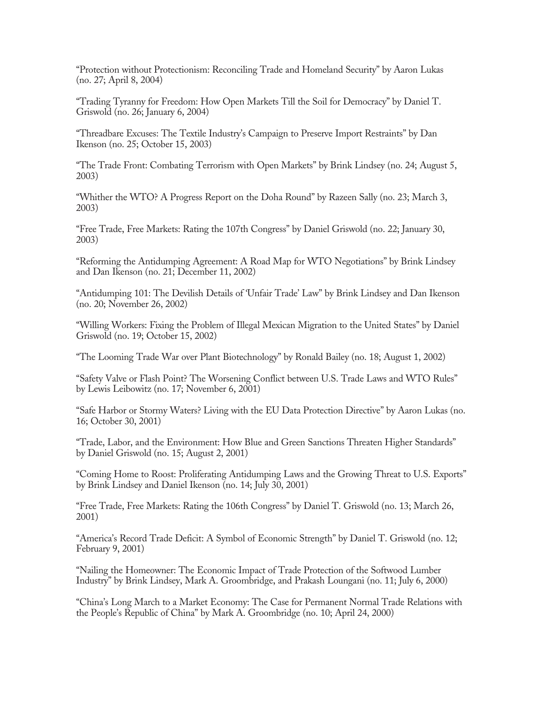"Protection without Protectionism: Reconciling Trade and Homeland Security" by Aaron Lukas (no. 27; April 8, 2004)

"Trading Tyranny for Freedom: How Open Markets Till the Soil for Democracy" by Daniel T. Griswold (no. 26; January 6, 2004)

"Threadbare Excuses: The Textile Industry's Campaign to Preserve Import Restraints" by Dan Ikenson (no. 25; October 15, 2003)

"The Trade Front: Combating Terrorism with Open Markets" by Brink Lindsey (no. 24; August 5, 2003)

"Whither the WTO? A Progress Report on the Doha Round" by Razeen Sally (no. 23; March 3, 2003)

"Free Trade, Free Markets: Rating the 107th Congress" by Daniel Griswold (no. 22; January 30, 2003)

"Reforming the Antidumping Agreement: A Road Map for WTO Negotiations" by Brink Lindsey and Dan Ikenson (no. 21; December 11, 2002)

"Antidumping 101: The Devilish Details of 'Unfair Trade' Law" by Brink Lindsey and Dan Ikenson (no. 20; November 26, 2002)

"Willing Workers: Fixing the Problem of Illegal Mexican Migration to the United States" by Daniel Griswold (no. 19; October 15, 2002)

"The Looming Trade War over Plant Biotechnology" by Ronald Bailey (no. 18; August 1, 2002)

"Safety Valve or Flash Point? The Worsening Conflict between U.S. Trade Laws and WTO Rules" by Lewis Leibowitz (no. 17; November 6, 2001)

"Safe Harbor or Stormy Waters? Living with the EU Data Protection Directive" by Aaron Lukas (no. 16; October 30, 2001)

"Trade, Labor, and the Environment: How Blue and Green Sanctions Threaten Higher Standards" by Daniel Griswold (no. 15; August 2, 2001)

"Coming Home to Roost: Proliferating Antidumping Laws and the Growing Threat to U.S. Exports" by Brink Lindsey and Daniel Ikenson (no. 14; July 30, 2001)

"Free Trade, Free Markets: Rating the 106th Congress" by Daniel T. Griswold (no. 13; March 26, 2001)

"America's Record Trade Deficit: A Symbol of Economic Strength" by Daniel T. Griswold (no. 12; February 9, 2001)

"Nailing the Homeowner: The Economic Impact of Trade Protection of the Softwood Lumber Industry" by Brink Lindsey, Mark A. Groombridge, and Prakash Loungani (no. 11; July 6, 2000)

"China's Long March to a Market Economy: The Case for Permanent Normal Trade Relations with the People's Republic of China" by Mark A. Groombridge (no. 10; April 24, 2000)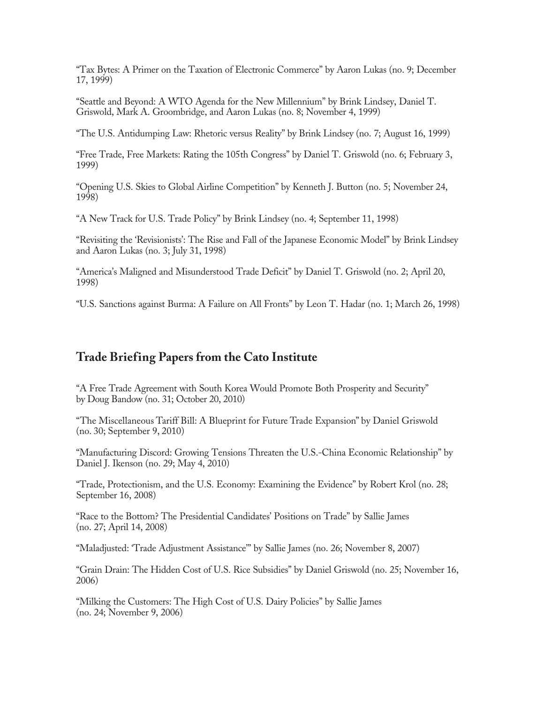"Tax Bytes: A Primer on the Taxation of Electronic Commerce" by Aaron Lukas (no. 9; December 17, 1999)

"Seattle and Beyond: A WTO Agenda for the New Millennium" by Brink Lindsey, Daniel T. Griswold, Mark A. Groombridge, and Aaron Lukas (no. 8; November 4, 1999)

"The U.S. Antidumping Law: Rhetoric versus Reality" by Brink Lindsey (no. 7; August 16, 1999)

"Free Trade, Free Markets: Rating the 105th Congress" by Daniel T. Griswold (no. 6; February 3, 1999)

"Opening U.S. Skies to Global Airline Competition" by Kenneth J. Button (no. 5; November 24, 1998)

"A New Track for U.S. Trade Policy" by Brink Lindsey (no. 4; September 11, 1998)

"Revisiting the 'Revisionists': The Rise and Fall of the Japanese Economic Model" by Brink Lindsey and Aaron Lukas (no. 3; July 31, 1998)

"America's Maligned and Misunderstood Trade Deficit" by Daniel T. Griswold (no. 2; April 20, 1998)

"U.S. Sanctions against Burma: A Failure on All Fronts" by Leon T. Hadar (no. 1; March 26, 1998)

### **Trade Briefing Papers from the Cato Institute**

"A Free Trade Agreement with South Korea Would Promote Both Prosperity and Security" by Doug Bandow (no. 31; October 20, 2010)

"The Miscellaneous Tariff Bill: A Blueprint for Future Trade Expansion" by Daniel Griswold (no. 30; September 9, 2010)

"Manufacturing Discord: Growing Tensions Threaten the U.S.-China Economic Relationship" by Daniel J. Ikenson (no. 29; May 4, 2010)

"Trade, Protectionism, and the U.S. Economy: Examining the Evidence" by Robert Krol (no. 28; September 16, 2008)

"Race to the Bottom? The Presidential Candidates' Positions on Trade" by Sallie James (no. 27; April 14, 2008)

"Maladjusted: 'Trade Adjustment Assistance'" by Sallie James (no. 26; November 8, 2007)

"Grain Drain: The Hidden Cost of U.S. Rice Subsidies" by Daniel Griswold (no. 25; November 16, 2006)

"Milking the Customers: The High Cost of U.S. Dairy Policies" by Sallie James (no. 24; November 9, 2006)